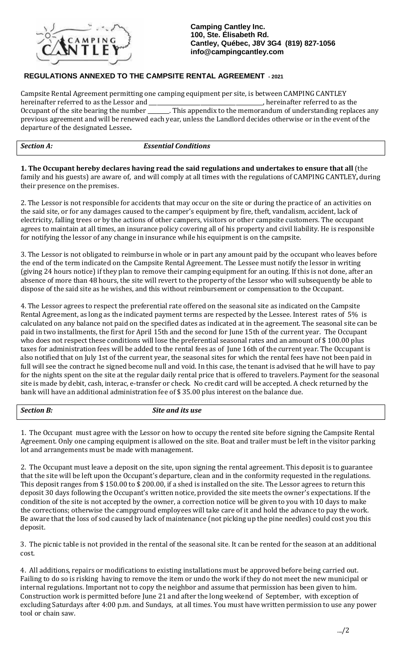

**Camping Cantley Inc. 100, Ste. Élisabeth Rd. Cantley, Québec, J8V 3G4 (819) 827-1056 [info@campingcantley.com](mailto:info@campingcantley.com)**

## **REGULATIONS ANNEXED TO THE CAMPSITE RENTAL AGREEMENT - 2021**

Campsite Rental Agreement permitting one camping equipment per site, is between CAMPING CANTLEY hereinafter referred to as the Lessor and \_<br>Occupant of the site bearing the number \_ \_. This appendix to the memorandum of understanding replaces any previous agreement and will be renewed each year, unless the Landlord decides otherwise or in the event of the departure of the designated Lessee**.**

*Section A: Essential Conditions* 

**1. The Occupant hereby declares having read the said regulations and undertakes to ensure that all** (the family and his guests) are aware of, and will comply at all times with the regulations of CAMPING CANTLEY**,** during their presence on the premises.

2. The Lessor is not responsible for accidents that may occur on the site or during the practice of an activities on the said site, or for any damages caused to the camper's equipment by fire, theft, vandalism, accident, lack of electricity, falling trees or by the actions of other campers, visitors or other campsite customers. The occupant agrees to maintain at all times, an insurance policy covering all of his property and civil liability. He is responsible for notifying the lessor of any change in insurance while his equipment is on the campsite.

3. The Lessor is not obligated to reimburse in whole or in part any amount paid by the occupant who leaves before the end of the term indicated on the Campsite Rental Agreement. The Lessee must notify the lessor in writing (giving 24 hours notice) if they plan to remove their camping equipment for an outing. If this is not done, after an absence of more than 48 hours, the site will revert to the property of the Lessor who will subsequently be able to dispose of the said site as he wishes, and this without reimbursement or compensation to the Occupant.

4. The Lessor agrees to respect the preferential rate offered on the seasonal site as indicated on the Campsite Rental Agreement, as long as the indicated payment terms are respected by the Lessee. Interest rates of 5% is calculated on any balance not paid on the specified dates as indicated at in the agreement. The seasonal site can be paid in two installments, the first for April 15th and the second for June 15th of the current year. The Occupant who does not respect these conditions will lose the preferential seasonal rates and an amount of \$100.00 plus taxes for administration fees will be added to the rental fees as of June 16th of the current year. The Occupant is also notified that on July 1st of the current year, the seasonal sites for which the rental fees have not been paid in full will see the contract he signed become null and void. In this case, the tenant is advised that he will have to pay for the nights spent on the site at the regular daily rental price that is offered to travelers. Payment for the seasonal site is made by debit, cash, interac, e-transfer or check. No credit card will be accepted. A check returned by the bank will have an additional administration fee of \$ 35.00 plus interest on the balance due.

*Section B: Site and its use*

1. The Occupant must agree with the Lessor on how to occupy the rented site before signing the Campsite Rental Agreement. Only one camping equipment is allowed on the site. Boat and trailer must be left in the visitor parking lot and arrangements must be made with management.

2. The Occupant must leave a deposit on the site, upon signing the rental agreement. This deposit is to guarantee that the site will be left upon the Occupant's departure, clean and in the conformity requested in the regulations. This deposit ranges from \$ 150.00 to \$ 200.00, if a shed is installed on the site. The Lessor agrees to return this deposit 30 days following the Occupant's written notice, provided the site meets the owner's expectations. If the condition of the site is not accepted by the owner, a correction notice will be given to you with 10 days to make the corrections; otherwise the campground employees will take care of it and hold the advance to pay the work. Be aware that the loss of sod caused by lack of maintenance (not picking up the pine needles) could cost you this deposit.

3. The picnic table is not provided in the rental of the seasonal site. It can be rented for the season at an additional cost.

4. All additions, repairs or modifications to existing installations must be approved before being carried out. Failing to do so is risking having to remove the item or undo the work if they do not meet the new municipal or internal regulations. Important not to copy the neighbor and assume that permission has been given to him. Construction work is permitted before June 21 and after the long weekend of September, with exception of excluding Saturdays after 4:00 p.m. and Sundays, at all times. You must have written permission to use any power tool or chain saw.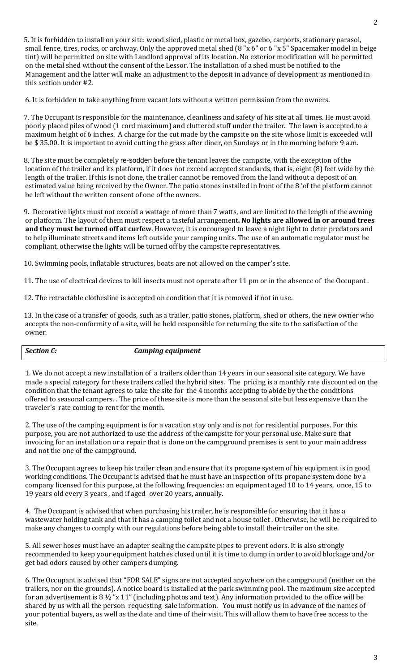5. It is forbidden to install on your site: wood shed, plastic or metal box, gazebo, carports, stationary parasol, small fence, tires, rocks, or archway. Only the approved metal shed (8 "x 6" or 6 "x 5" Spacemaker model in beige tint) will be permitted on site with Landlord approval of its location. No exterior modification will be permitted on the metal shed without the consent of the Lessor. The installation of a shed must be notified to the Management and the latter will make an adjustment to the deposit in advance of development as mentioned in this section under #2.

6. It is forbidden to take anything from vacant lots without a written permission from the owners.

7. The Occupant is responsible for the maintenance, cleanliness and safety of his site at all times. He must avoid poorly placed piles of wood (1 cord maximum) and cluttered stuff under the trailer. The lawn is accepted to a maximum height of 6 inches. A charge for the cut made by the campsite on the site whose limit is exceeded will be \$ 35.00. It is important to avoid cutting the grass after diner, on Sundays or in the morning before 9 a.m.

8. The site must be completely re-sodden before the tenant leaves the campsite, with the exception of the location of the trailer and its platform, if it does not exceed accepted standards, that is, eight (8) feet wide by the length of the trailer. If this is not done, the trailer cannot be removed from the land without a deposit of an estimated value being received by the Owner. The patio stones installed in front of the 8 'of the platform cannot be left without the written consent of one of the owners.

9. Decorative lights must not exceed a wattage of more than 7 watts, and are limited to the length of the awning or platform. The layout of them must respect a tasteful arrangement**. No lights are allowed in or around trees and they must be turned off at curfew**. However, it is encouraged to leave a night light to deter predators and to help illuminate streets and items left outside your camping units. The use of an automatic regulator must be compliant, otherwise the lights will be turned off by the campsite representatives.

10. Swimming pools, inflatable structures, boats are not allowed on the camper's site.

11. The use of electrical devices to kill insects must not operate after 11 pm or in the absence of the Occupant .

12. The retractable clothesline is accepted on condition that it is removed if not in use.

13. In the case of a transfer of goods, such as a trailer, patio stones, platform, shed or others, the new owner who accepts the non-conformity of a site, will be held responsible for returning the site to the satisfaction of the owner.

*Section C: Camping equipment* 

1. We do not accept a new installation of a trailers older than 14 years in our seasonal site category. We have made a special category for these trailers called the hybrid sites. The pricing is a monthly rate discounted on the condition that the tenant agrees to take the site for the 4 months accepting to abide by the the conditions offered to seasonal campers. . The price of these site is more than the seasonal site but less expensive than the traveler's rate coming to rent for the month.

2. The use of the camping equipment is for a vacation stay only and is not for residential purposes. For this purpose, you are not authorized to use the address of the campsite for your personal use. Make sure that invoicing for an installation or a repair that is done on the campground premises is sent to your main address and not the one of the campground.

3. The Occupant agrees to keep his trailer clean and ensure that its propane system of his equipment is in good working conditions. The Occupant is advised that he must have an inspection of its propane system done by a company licensed for this purpose, at the following frequencies: an equipment aged 10 to 14 years, once, 15 to 19 years old every 3 years , and if aged over 20 years, annually.

4. The Occupant is advised that when purchasing his trailer, he is responsible for ensuring that it has a wastewater holding tank and that it has a camping toilet and not a house toilet . Otherwise, he will be required to make any changes to comply with our regulations before being able to install their trailer on the site.

5. All sewer hoses must have an adapter sealing the campsite pipes to prevent odors. It is also strongly recommended to keep your equipment hatches closed until it is time to dump in order to avoid blockage and/or get bad odors caused by other campers dumping.

6. The Occupant is advised that "FOR SALE" signs are not accepted anywhere on the campground (neither on the trailers, nor on the grounds). A notice board is installed at the park swimming pool. The maximum size accepted for an advertisement is 8 ½ "x 11" (including photos and text). Any information provided to the office will be shared by us with all the person requesting sale information. You must notify us in advance of the names of your potential buyers, as well as the date and time of their visit. This will allow them to have free access to the site.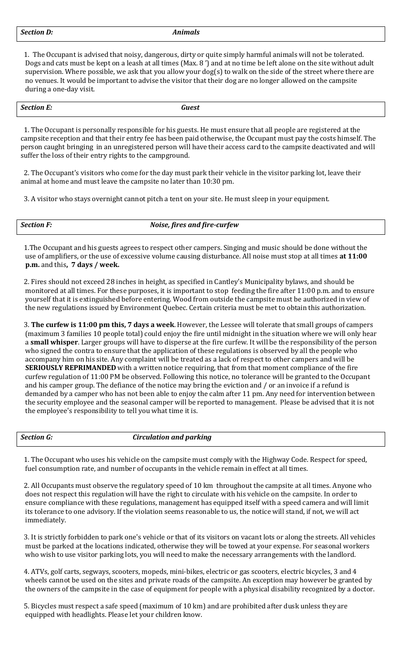1. The Occupant is advised that noisy, dangerous, dirty or quite simply harmful animals will not be tolerated. Dogs and cats must be kept on a leash at all times (Max. 8 ') and at no time be left alone on the site without adult supervision. Where possible, we ask that you allow your dog(s) to walk on the side of the street where there are no venues. It would be important to advise the visitor that their dog are no longer allowed on the campsite during a one-day visit.

| $\sim$ $\sim$<br>.9 <sup>o</sup><br>_ _ _ _ _ | 1001<br>$\cdots$ $\cdots$ |
|-----------------------------------------------|---------------------------|
|                                               |                           |

1. The Occupant is personally responsible for his guests. He must ensure that all people are registered at the campsite reception and that their entry fee has been paid otherwise, the Occupant must pay the costs himself. The person caught bringing in an unregistered person will have their access card to the campsite deactivated and will suffer the loss of their entry rights to the campground.

2. The Occupant's visitors who come for the day must park their vehicle in the visitor parking lot, leave their animal at home and must leave the campsite no later than 10:30 pm.

3. A visitor who stays overnight cannot pitch a tent on your site. He must sleep in your equipment.

| <b>Section F:</b> | Noise, fires and fire-curfew |
|-------------------|------------------------------|
|                   |                              |

1.The Occupant and his guests agrees to respect other campers. Singing and music should be done without the use of amplifiers, or the use of excessive volume causing disturbance. All noise must stop at all times **at 11:00 p.m.** and this**, 7 days / week.**

2. Fires should not exceed 28 inches in height, as specified in Cantley's Municipality bylaws, and should be monitored at all times. For these purposes, it is important to stop feeding the fire after 11:00 p.m. and to ensure yourself that it is extinguished before entering. Wood from outside the campsite must be authorized in view of the new regulations issued by Environment Quebec. Certain criteria must be met to obtain this authorization.

3. **The curfew is 11:00 pm this, 7 days a week**. However, the Lessee will tolerate that small groups of campers (maximum 3 families 10 people total) could enjoy the fire until midnight in the situation where we will only hear a **small whisper**. Larger groups will have to disperse at the fire curfew. It will be the responsibility of the person who signed the contra to ensure that the application of these regulations is observed by all the people who accompany him on his site. Any complaint will be treated as a lack of respect to other campers and will be **SERIOUSLY REPRIMANDED** with a written notice requiring, that from that moment compliance of the fire curfew regulation of 11:00 PM be observed. Following this notice, no tolerance will be granted to the Occupant and his camper group. The defiance of the notice may bring the eviction and / or an invoice if a refund is demanded by a camper who has not been able to enjoy the calm after 11 pm. Any need for intervention between the security employee and the seasonal camper will be reported to management. Please be advised that it is not the employee's responsibility to tell you what time it is.

*Section G: Circulation and parking*

1. The Occupant who uses his vehicle on the campsite must comply with the Highway Code. Respect for speed, fuel consumption rate, and number of occupants in the vehicle remain in effect at all times.

2. All Occupants must observe the regulatory speed of 10 km throughout the campsite at all times. Anyone who does not respect this regulation will have the right to circulate with his vehicle on the campsite. In order to ensure compliance with these regulations, management has equipped itself with a speed camera and will limit its tolerance to one advisory. If the violation seems reasonable to us, the notice will stand, if not, we will act immediately.

3. It is strictly forbidden to park one's vehicle or that of its visitors on vacant lots or along the streets. All vehicles must be parked at the locations indicated, otherwise they will be towed at your expense. For seasonal workers who wish to use visitor parking lots, you will need to make the necessary arrangements with the landlord.

4. ATVs, golf carts, segways, scooters, mopeds, mini-bikes, electric or gas scooters, electric bicycles, 3 and 4 wheels cannot be used on the sites and private roads of the campsite. An exception may however be granted by the owners of the campsite in the case of equipment for people with a physical disability recognized by a doctor.

5. Bicycles must respect a safe speed (maximum of 10 km) and are prohibited after dusk unless they are equipped with headlights. Please let your children know.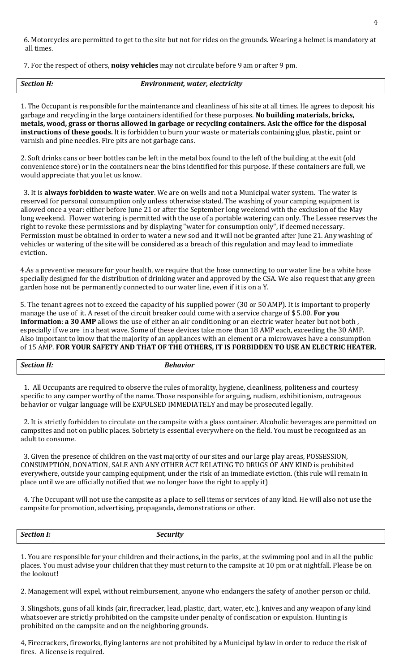6. Motorcycles are permitted to get to the site but not for rides on the grounds. Wearing a helmet is mandatory at all times.

7. For the respect of others, **noisy vehicles** may not circulate before 9 am or after 9 pm.

| <b>Section H:</b> | Environment, water, electricity |
|-------------------|---------------------------------|
|-------------------|---------------------------------|

1. The Occupant is responsible for the maintenance and cleanliness of his site at all times. He agrees to deposit his garbage and recycling in the large containers identified for these purposes. **No building materials, bricks, metals, wood, grass or thorns allowed in garbage or recycling containers. Ask the office for the disposal instructions of these goods.** It is forbidden to burn your waste or materials containing glue, plastic, paint or varnish and pine needles. Fire pits are not garbage cans.

2. Soft drinks cans or beer bottles can be left in the metal box found to the left of the building at the exit (old convenience store) or in the containers near the bins identified for this purpose. If these containers are full, we would appreciate that you let us know.

3. It is **always forbidden to waste water**. We are on wells and not a Municipal water system. The water is reserved for personal consumption only unless otherwise stated. The washing of your camping equipment is allowed once a year: either before June 21 or after the September long weekend with the exclusion of the May long weekend. Flower watering is permitted with the use of a portable watering can only. The Lessee reserves the right to revoke these permissions and by displaying "water for consumption only", if deemed necessary. Permission must be obtained in order to water a new sod and it will not be granted after June 21. Any washing of vehicles or watering of the site will be considered as a breach of this regulation and may lead to immediate eviction.

4.As a preventive measure for your health, we require that the hose connecting to our water line be a white hose specially designed for the distribution of drinking water and approved by the CSA. We also request that any green garden hose not be permanently connected to our water line, even if it is on a Y.

5. The tenant agrees not to exceed the capacity of his supplied power (30 or 50 AMP). It is important to properly manage the use of it. A reset of the circuit breaker could come with a service charge of \$ 5.00. **For you information**: **a 30 AMP** allows the use of either an air conditioning or an electric water heater but not both, especially if we are in a heat wave. Some of these devices take more than 18 AMP each, exceeding the 30 AMP. Also important to know that the majority of an appliances with an element or a microwaves have a consumption of 15 AMP. **FOR YOUR SAFETY AND THAT OF THE OTHERS, IT IS FORBIDDEN TO USE AN ELECTRIC HEATER.**

*Section H: Behavior*

1. All Occupants are required to observe the rules of morality, hygiene, cleanliness, politeness and courtesy specific to any camper worthy of the name. Those responsible for arguing, nudism, exhibitionism, outrageous behavior or vulgar language will be EXPULSED IMMEDIATELY and may be prosecuted legally.

2. It is strictly forbidden to circulate on the campsite with a glass container. Alcoholic beverages are permitted on campsites and not on public places. Sobriety is essential everywhere on the field. You must be recognized as an adult to consume.

3. Given the presence of children on the vast majority of our sites and our large play areas, POSSESSION, CONSUMPTION, DONATION, SALE AND ANY OTHER ACT RELATING TO DRUGS OF ANY KIND is prohibited everywhere, outside your camping equipment, under the risk of an immediate eviction. (this rule will remain in place until we are officially notified that we no longer have the right to apply it)

4. The Occupant will not use the campsite as a place to sell items or services of any kind. He will also not use the campsite for promotion, advertising, propaganda, demonstrations or other.

*Section I: Security*

1. You are responsible for your children and their actions, in the parks, at the swimming pool and in all the public places. You must advise your children that they must return to the campsite at 10 pm or at nightfall. Please be on the lookout!

2. Management will expel, without reimbursement, anyone who endangers the safety of another person or child.

3. Slingshots, guns of all kinds (air, firecracker, lead, plastic, dart, water, etc.), knives and any weapon of any kind whatsoever are strictly prohibited on the campsite under penalty of confiscation or expulsion. Hunting is prohibited on the campsite and on the neighboring grounds.

4, Firecrackers, fireworks, flying lanterns are not prohibited by a Municipal bylaw in order to reduce the risk of fires. A license is required.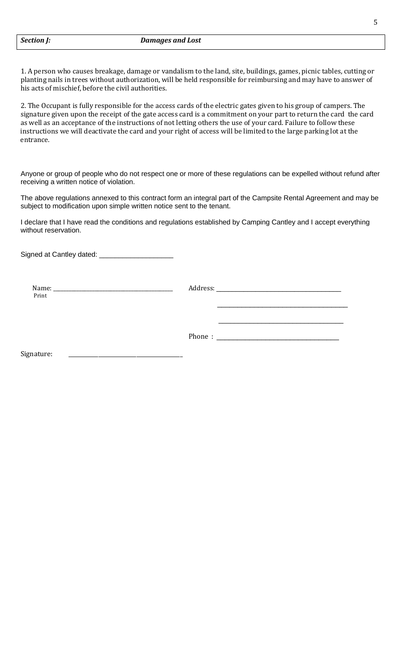1. A person who causes breakage, damage or vandalism to the land, site, buildings, games, picnic tables, cutting or planting nails in trees without authorization, will be held responsible for reimbursing and may have to answer of his acts of mischief, before the civil authorities.

2. The Occupant is fully responsible for the access cards of the electric gates given to his group of campers. The signature given upon the receipt of the gate access card is a commitment on your part to return the card the card as well as an acceptance of the instructions of not letting others the use of your card. Failure to follow these instructions we will deactivate the card and your right of access will be limited to the large parking lot at the entrance.

Anyone or group of people who do not respect one or more of these regulations can be expelled without refund after receiving a written notice of violation.

The above regulations annexed to this contract form an integral part of the Campsite Rental Agreement and may be subject to modification upon simple written notice sent to the tenant.

I declare that I have read the conditions and regulations established by Camping Cantley and I accept everything without reservation.

Signed at Cantley dated: \_\_\_\_\_\_\_\_\_\_\_\_\_\_\_\_\_\_\_

Name: \_\_\_\_\_\_\_\_\_\_\_\_\_\_\_\_\_\_\_\_\_\_\_\_\_\_\_\_\_\_\_\_\_\_\_\_\_\_\_\_\_\_\_\_\_\_ Address: \_\_\_\_\_\_\_\_\_\_\_\_\_\_\_\_\_\_\_\_\_\_\_\_\_\_\_\_\_\_\_\_ Print and the second second second second second second second second second second second second second second second second second second second second second second second second second second second second second secon

Phone :  $\equiv$ 

 $\overline{\phantom{a}}$  , where the contract of the contract of the contract of the contract of the contract of the contract of the contract of the contract of the contract of the contract of the contract of the contract of the contr

 $\overline{\phantom{a}}$  , and the contract of the contract of the contract of  $\overline{\phantom{a}}$ 

Signature: \_\_\_\_\_\_\_\_\_\_\_\_\_\_\_\_\_\_\_\_\_\_\_\_\_\_\_\_\_\_\_\_\_\_\_\_\_\_\_\_\_\_